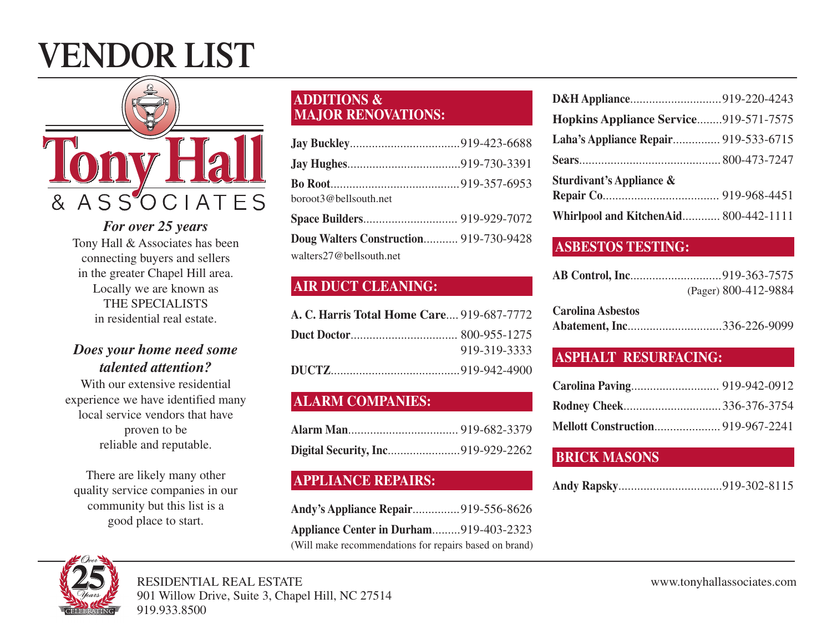# **VENDOR LIST**



*For over 25 years* Tony Hall & Associates has been connecting buyers and sellers in the greater Chapel Hill area. Locally we are known as THE SPECIALISTS in residential real estate.

#### *Does your home need some talented attention?*

With our extensive residential experience we have identified many local service vendors that have proven to be reliable and reputable.

There are likely many other quality service companies in our community but this list is a good place to start.

#### **ADDITIONS & MAJOR RENOVATIONS:**

| boroot3@bellsouth.net                  |  |
|----------------------------------------|--|
|                                        |  |
| Doug Walters Construction 919-730-9428 |  |
| walters27@bellsouth.net                |  |

## **AIR DUCT CLEANING:**

| A. C. Harris Total Home Care 919-687-7772 |              |
|-------------------------------------------|--------------|
|                                           |              |
|                                           | 919-319-3333 |
|                                           |              |

## **ALARM COMPANIES:**

#### **APPLIANCE REPAIRS:**

| Andy's Appliance Repair919-556-8626                    |  |
|--------------------------------------------------------|--|
| Appliance Center in Durham919-403-2323                 |  |
| (Will make recommendations for repairs based on brand) |  |

| D&H Appliance919-220-4243             |  |
|---------------------------------------|--|
| Hopkins Appliance Service919-571-7575 |  |
| Laha's Appliance Repair 919-533-6715  |  |
|                                       |  |
| <b>Sturdivant's Appliance &amp;</b>   |  |
|                                       |  |
| Whirlpool and KitchenAid 800-442-1111 |  |

#### **ASBESTOS TESTING:**

| (Pager) 800-412-9884 |
|----------------------|

| <b>Carolina Asbestos</b> |                            |
|--------------------------|----------------------------|
|                          | Abatement, Inc336-226-9099 |

#### **ASPHALT RESURFACING:**

| <b>Rodney Cheek336-376-3754</b>   |  |
|-----------------------------------|--|
| Mellott Construction 919-967-2241 |  |

#### **BRICK MASONS**

|--|--|

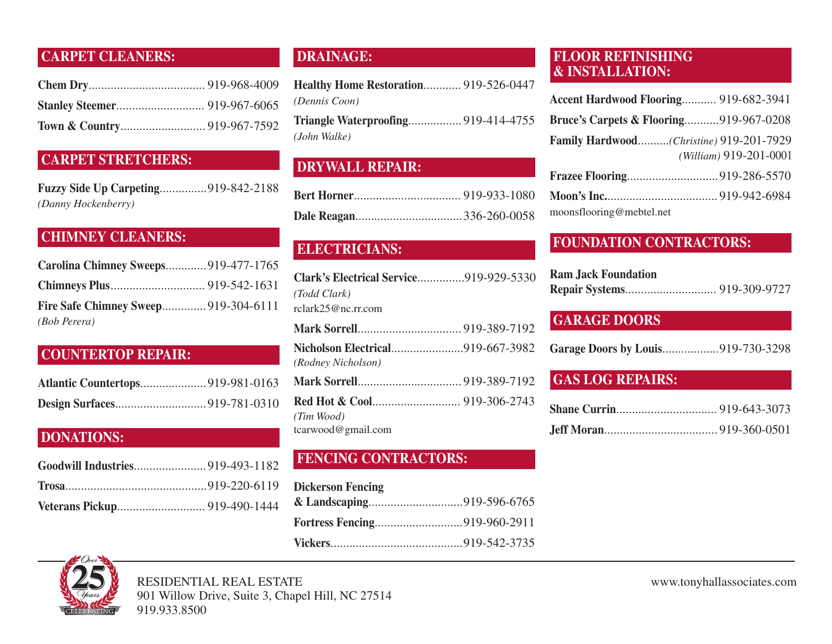## **CARPET CLEANERS:**

#### **CARPET STRETCHERS:**

**Fuzzy Side Up Carpeting**...............919-842-2188 *(Danny Hockenberry)*

#### **CHIMNEY CLEANERS:**

| Carolina Chimney Sweeps919-477-1765  |  |
|--------------------------------------|--|
|                                      |  |
| Fire Safe Chimney Sweep 919-304-6111 |  |
| <i>(Bob Perera)</i>                  |  |

#### **COUNTERTOP REPAIR:**

| <b>Atlantic Countertops919-981-0163</b> |  |
|-----------------------------------------|--|
|                                         |  |

#### **DONATIONS:**

## **DRAINAGE:**

**Healthy Home Restoration**............ 919-526-0447 *(Dennis Coon)* **Triangle Waterproofing**................. 919-414-4755 *(John Walke)*

## **DRYWALL REPAIR:**

#### **ELECTRICIANS:**

| Clark's Electrical Service919-929-5330  |  |
|-----------------------------------------|--|
| (Todd Clark)                            |  |
| rclark25@nc.rr.com                      |  |
|                                         |  |
| <b>Nicholson Electrical919-667-3982</b> |  |
| (Rodney Nicholson)                      |  |
|                                         |  |
|                                         |  |
| (Tim Wood)                              |  |
| tcarwood@gmail.com                      |  |

#### **FENCING CONTRACTORS:**

| <b>Dickerson Fencing</b> |  |
|--------------------------|--|
|                          |  |
|                          |  |
|                          |  |

#### **FLOOR REFINISHING & INSTALLATION:**

| Accent Hardwood Flooring 919-682-3941             |                        |
|---------------------------------------------------|------------------------|
| <b>Bruce's Carpets &amp; Flooring919-967-0208</b> |                        |
| Family Hardwood(Christine) 919-201-7929           |                        |
|                                                   | (William) 919-201-0001 |
|                                                   |                        |
|                                                   |                        |

moonsflooring@mebtel.net

## **FOUNDATION CONTRACTORS:**

| <b>Ram Jack Foundation</b> |  |
|----------------------------|--|
|                            |  |

#### **GARAGE DOORS**

| Garage Doors by Louis919-730-3298 |  |  |
|-----------------------------------|--|--|
|-----------------------------------|--|--|

#### **GAS LOG REPAIRS:**



RESIDENTIAL REAL ESTATE www.tonyhallassociates.com 901 Willow Drive, Suite 3, Chapel Hill, NC 27514 919.933.8500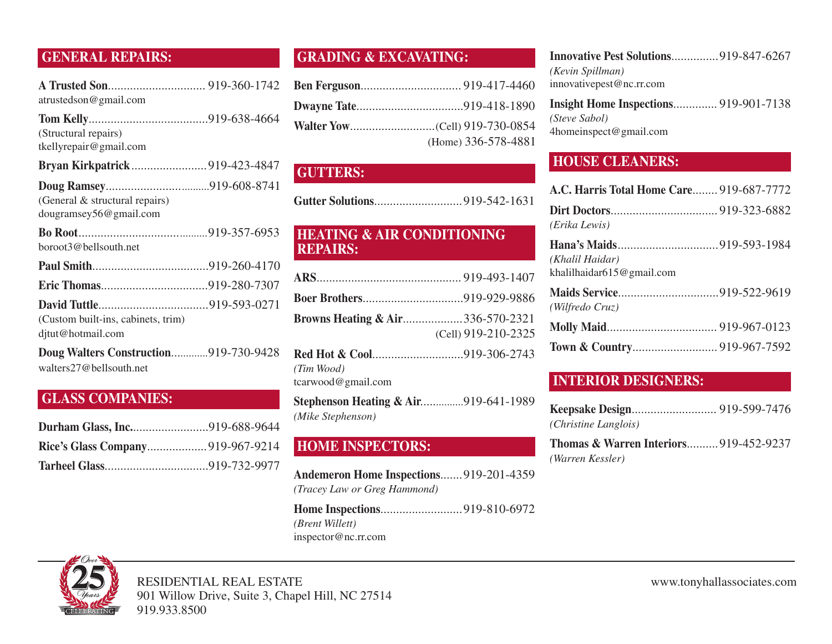#### **GENERAL REPAIRS:**

| atrustedson@gmail.com |  |
|-----------------------|--|

| (Structural repairs)<br>tkellyrepair@gmail.com           |  |
|----------------------------------------------------------|--|
|                                                          |  |
| (General & structural repairs)<br>dougramsey56@gmail.com |  |
| boroot3@bellsouth.net                                    |  |
|                                                          |  |
|                                                          |  |
| (Custom built-ins, cabinets, trim)                       |  |

djtut@hotmail.com

**Doug Walters Construction**.............919-730-9428 walters27@bellsouth.net

#### **GLASS COMPANIES:**

#### **GRADING & EXCAVATING:**

| (Home) 336-578-4881 |
|---------------------|

#### **GUTTERS:**

#### **HEATING & AIR CONDITIONING REPAIRS:**

| <b>Browns Heating &amp; Air336-570-2321</b> |                     |
|---------------------------------------------|---------------------|
|                                             | (Cell) 919-210-2325 |
| <b>Red Hot &amp; Cool919-306-2743</b>       |                     |

*(Tim Wood)* tcarwood@gmail.com

**Stephenson Heating & Air**...............919-641-1989 *(Mike Stephenson)*

#### **HOME INSPECTORS:**

**Andemeron Home Inspections**.......919-201-4359 *(Tracey Law or Greg Hammond)*

**Home Inspections**..........................919-810-6972 *(Brent Willett)* inspector@nc.rr.com

| <b>Innovative Pest Solutions</b> 919-847-6267 |
|-----------------------------------------------|
|                                               |
|                                               |
| <b>Insight Home Inspections</b> 919-901-7138  |
|                                               |
|                                               |
|                                               |

# **HOUSE CLEANERS:**

| A.C. Harris Total Home Care 919-687-7772         |  |
|--------------------------------------------------|--|
| (Erika Lewis)                                    |  |
| (Khalil Haidar)<br>khalilhaidar $615@$ gmail.com |  |
| (Wilfredo Cruz)                                  |  |
|                                                  |  |
|                                                  |  |

#### **INTERIOR DESIGNERS:**

| (Christine Langlois) |  |
|----------------------|--|

**Thomas & Warren Interiors**..........919-452-9237 *(Warren Kessler)*



RESIDENTIAL REAL ESTATE www.tonyhallassociates.com 901 Willow Drive, Suite 3, Chapel Hill, NC 27514 919.933.8500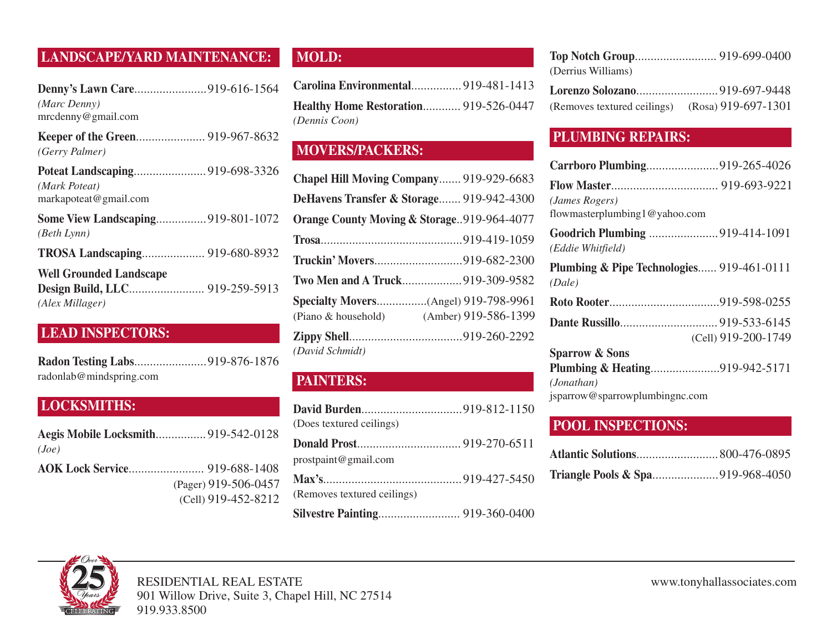# **LANDSCAPE/YARD MAINTENANCE:**

| Denny's Lawn Care919-616-1564<br>(Marc Denny)<br>mrcdenny@gmail.com |  |
|---------------------------------------------------------------------|--|
| (Gerry Palmer)                                                      |  |
| (Mark Poteat)<br>markapoteat@gmail.com                              |  |
| <b>Some View Landscaping919-801-1072</b><br>(Beth Lynn)             |  |
| TROSA Landscaping 919-680-8932                                      |  |
| <b>Well Grounded Landscape</b><br>(Alex Millager)                   |  |

## **LEAD INSPECTORS:**

| radonlab@mindspring.com |  |
|-------------------------|--|

#### **LOCKSMITHS:**

| <b>Aegis Mobile Locksmith</b> 919-542-0128 |                      |
|--------------------------------------------|----------------------|
| (Joe)                                      |                      |
|                                            |                      |
|                                            | (Pager) 919-506-0457 |
|                                            | (Cell) 919-452-8212  |

## **MOLD:**

| Carolina Environmental 919-481-1413          |  |
|----------------------------------------------|--|
| <b>Healthy Home Restoration 919-526-0447</b> |  |
| (Dennis Coon)                                |  |

# **MOVERS/PACKERS:**

| Chapel Hill Moving Company 919-929-6683                     |                      |
|-------------------------------------------------------------|----------------------|
| DeHavens Transfer & Storage 919-942-4300                    |                      |
| Orange County Moving & Storage919-964-4077                  |                      |
|                                                             |                      |
| Truckin' Movers919-682-2300                                 |                      |
| Two Men and A Truck 919-309-9582                            |                      |
| Specialty Movers(Angel) 919-798-9961<br>(Piano & household) | (Amber) 919-586-1399 |
| (David Schmidt)                                             |                      |

## **PAINTERS:**

| (Does textured ceilings)    |  |
|-----------------------------|--|
|                             |  |
| prostpaint@gmail.com        |  |
|                             |  |
| (Removes textured ceilings) |  |
|                             |  |

| (Derrius Williams)           |  |
|------------------------------|--|
| Lorenzo Solozano919-697-9448 |  |

| (Removes textured ceilings) | (Rosa) 919-697-1301 |
|-----------------------------|---------------------|
|                             |                     |

#### **PLUMBING REPAIRS:**

| Carrboro Plumbing919-265-4026                       |                     |
|-----------------------------------------------------|---------------------|
|                                                     |                     |
| (James Rogers)<br>flowmasterplumbing 1 @ yahoo.com  |                     |
| (Eddie Whitfield)                                   |                     |
| Plumbing & Pipe Technologies 919-461-0111<br>(Dale) |                     |
|                                                     |                     |
|                                                     |                     |
|                                                     | (Cell) 919-200-1749 |
| <b>Sparrow &amp; Sons</b>                           |                     |
| Plumbing & Heating919-942-5171                      |                     |
| (Jonathan)                                          |                     |
| jsparrow@sparrowplumbingnc.com                      |                     |

#### **POOL INSPECTIONS:**

| <b>Triangle Pools &amp; Spa</b> 919-968-4050 |  |
|----------------------------------------------|--|

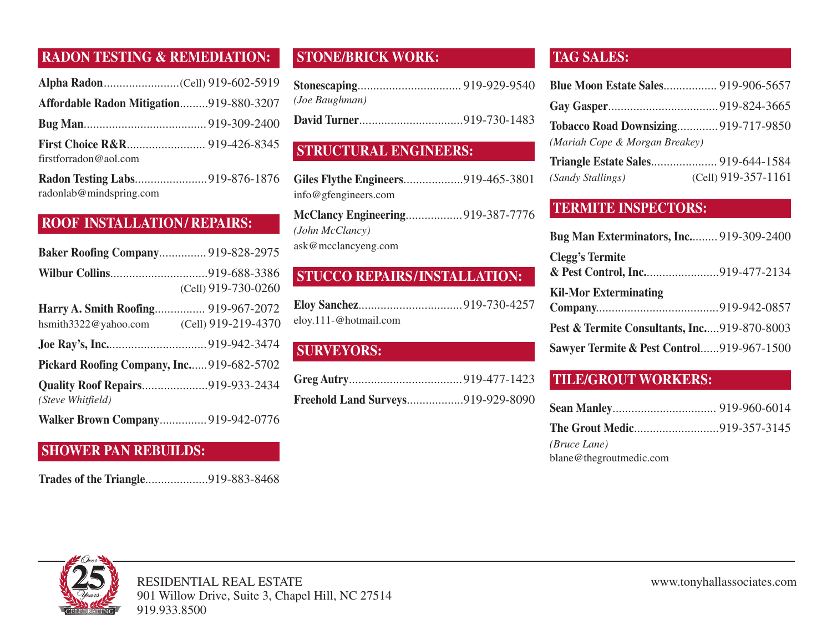#### **RADON TESTING & REMEDIATION:**

| Affordable Radon Mitigation919-880-3207 |  |
|-----------------------------------------|--|
|                                         |  |
|                                         |  |
| firstforradon@aol.com                   |  |

**Radon Testing Labs**.......................919-876-1876 radonlab@mindspring.com

#### **ROOF INSTALLATION/ REPAIRS:**

| <b>Baker Roofing Company 919-828-2975</b> |                     |
|-------------------------------------------|---------------------|
|                                           |                     |
|                                           | (Cell) 919-730-0260 |
| Harry A. Smith Roofing 919-967-2072       |                     |
| hsmith $3322@$ yahoo.com                  | (Cell) 919-219-4370 |
|                                           |                     |
| Pickard Roofing Company, Inc919-682-5702  |                     |
| <b>Quality Roof Repairs919-933-2434</b>   |                     |
| (Steve Whitfield)                         |                     |
| <b>Walker Brown Company 919-942-0776</b>  |                     |

#### **SHOWER PAN REBUILDS:**

**Trades of the Triangle**....................919-883-8468

#### **STONE/BRICK WORK:**

| (Joe Baughman) |  |
|----------------|--|
|                |  |

#### **STRUCTURAL ENGINEERS:**

| Giles Flythe Engineers919-465-3801 |  |
|------------------------------------|--|
| info@gfengineers.com               |  |
| McClancy Engineering919-387-7776   |  |
| (John McClancy)                    |  |

ask@mcclancyeng.com

## **STUCCO REPAIRS/INSTALLATION:**

| eloy.111-@hotmail.com |  |
|-----------------------|--|

## **SURVEYORS:**

| <b>Freehold Land Surveys919-929-8090</b> |  |
|------------------------------------------|--|

#### **TAG SALES:**

| <b>Blue Moon Estate Sales</b> 919-906-5657 |                       |
|--------------------------------------------|-----------------------|
|                                            |                       |
| Tobacco Road Downsizing 919-717-9850       |                       |
| (Mariah Cope & Morgan Breakey)             |                       |
|                                            |                       |
| (Sandy Stallings)                          | $(Cell)$ 919-357-1161 |

#### **TERMITE INSPECTORS:**

| <b>Bug Man Exterminators, Inc 919-309-2400</b> |  |
|------------------------------------------------|--|
| <b>Clegg's Termite</b>                         |  |
| <b>Kil-Mor Exterminating</b>                   |  |
|                                                |  |
| Pest & Termite Consultants, Inc919-870-8003    |  |
| Sawyer Termite & Pest Control919-967-1500      |  |

#### **TILE/GROUT WORKERS:**

| <b>The Grout Medic919-357-3145</b> |  |
|------------------------------------|--|
| <i>(Bruce Lane)</i>                |  |
| blane@thegroutmedic.com            |  |